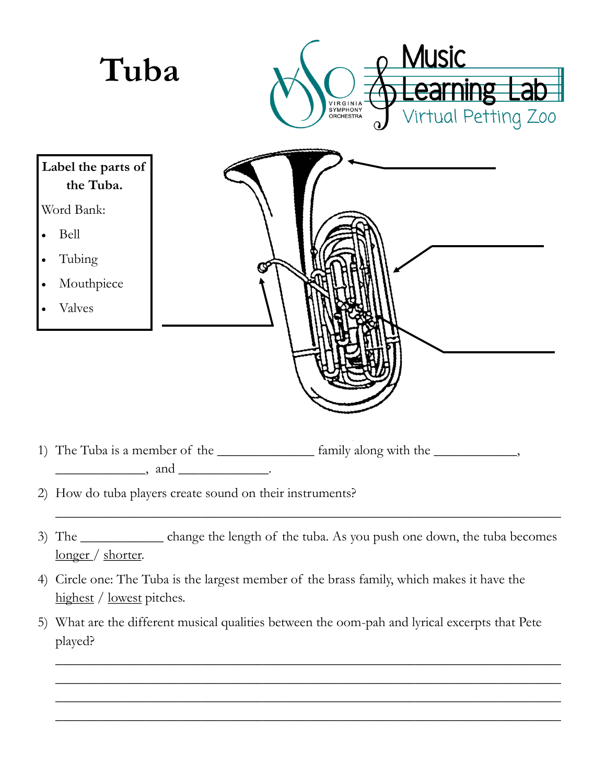

- 3) The \_\_\_\_\_\_\_\_\_\_\_\_ change the length of the tuba. As you push one down, the tuba becomes longer / shorter.
- 4) Circle one: The Tuba is the largest member of the brass family, which makes it have the highest / lowest pitches.
- 5) What are the different musical qualities between the oom-pah and lyrical excerpts that Pete played?

\_\_\_\_\_\_\_\_\_\_\_\_\_\_\_\_\_\_\_\_\_\_\_\_\_\_\_\_\_\_\_\_\_\_\_\_\_\_\_\_\_\_\_\_\_\_\_\_\_\_\_\_\_\_\_\_\_\_\_\_\_\_\_\_\_\_\_\_\_\_\_\_\_ \_\_\_\_\_\_\_\_\_\_\_\_\_\_\_\_\_\_\_\_\_\_\_\_\_\_\_\_\_\_\_\_\_\_\_\_\_\_\_\_\_\_\_\_\_\_\_\_\_\_\_\_\_\_\_\_\_\_\_\_\_\_\_\_\_\_\_\_\_\_\_\_\_ \_\_\_\_\_\_\_\_\_\_\_\_\_\_\_\_\_\_\_\_\_\_\_\_\_\_\_\_\_\_\_\_\_\_\_\_\_\_\_\_\_\_\_\_\_\_\_\_\_\_\_\_\_\_\_\_\_\_\_\_\_\_\_\_\_\_\_\_\_\_\_\_\_ \_\_\_\_\_\_\_\_\_\_\_\_\_\_\_\_\_\_\_\_\_\_\_\_\_\_\_\_\_\_\_\_\_\_\_\_\_\_\_\_\_\_\_\_\_\_\_\_\_\_\_\_\_\_\_\_\_\_\_\_\_\_\_\_\_\_\_\_\_\_\_\_\_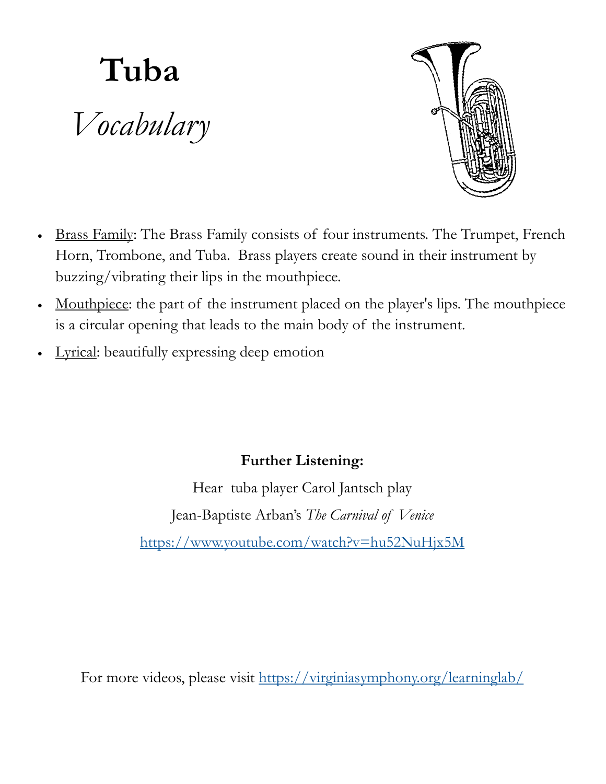## **Tuba** *Vocabulary*



- Brass Family: The Brass Family consists of four instruments. The Trumpet, French Horn, Trombone, and Tuba. Brass players create sound in their instrument by buzzing/vibrating their lips in the mouthpiece.
- Mouthpiece: the part of the instrument placed on the player's lips. The mouthpiece is a circular opening that leads to the main body of the instrument.
- Lyrical: beautifully expressing deep emotion

## **Further Listening:**

Hear tuba player Carol Jantsch play Jean-Baptiste Arban's *The Carnival of Venice* <https://www.youtube.com/watch?v=hu52NuHjx5M>

For more videos, please visit <https://virginiasymphony.org/learninglab/>